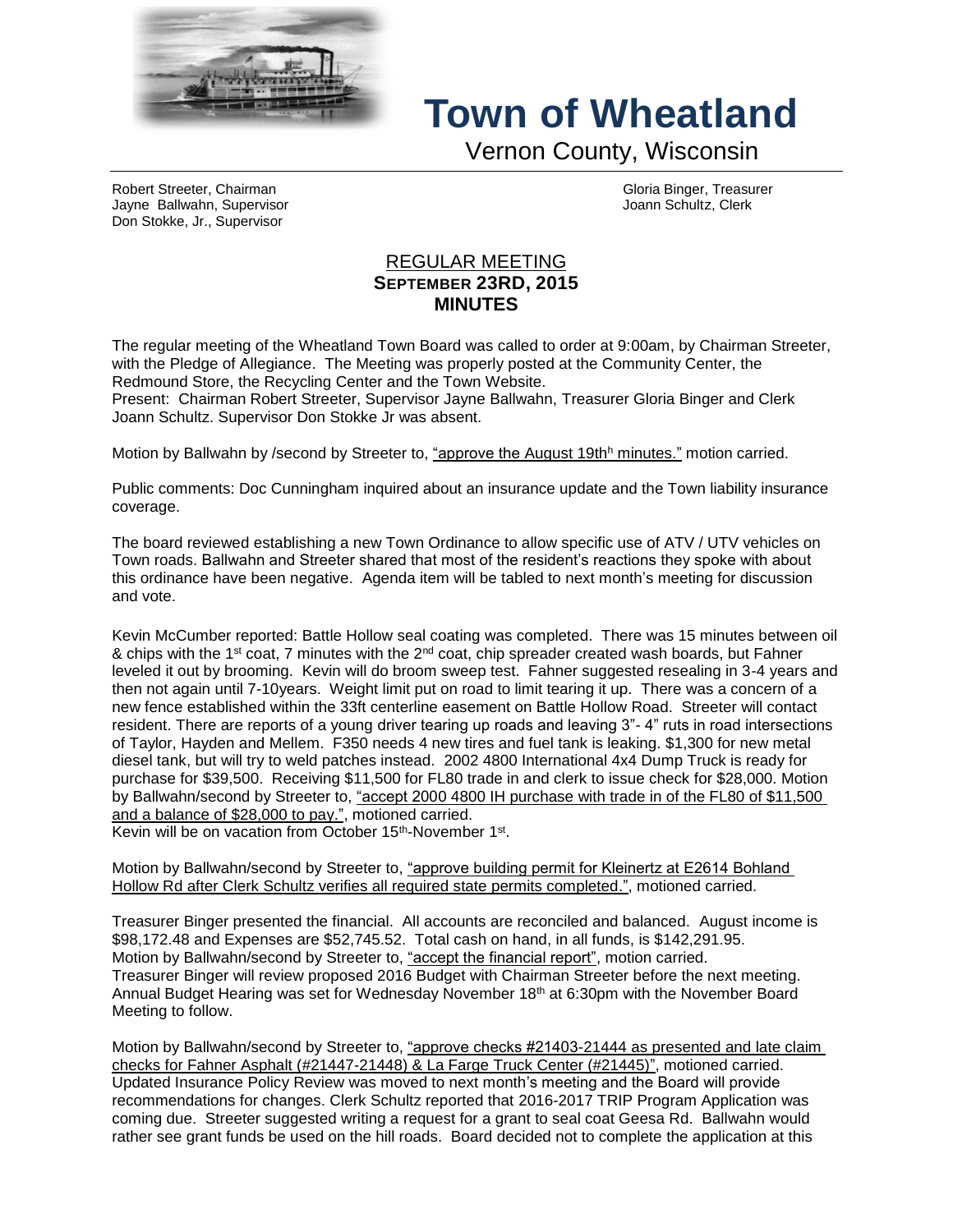

## **Town of Wheatland**

Vernon County, Wisconsin

Robert Streeter, Chairman Gloria Binger, Treasurer Jayne Ballwahn, Supervisor Joann Schultz, Clerk Don Stokke, Jr., Supervisor

## REGULAR MEETING **SEPTEMBER 23RD, 2015 MINUTES**

The regular meeting of the Wheatland Town Board was called to order at 9:00am, by Chairman Streeter, with the Pledge of Allegiance. The Meeting was properly posted at the Community Center, the Redmound Store, the Recycling Center and the Town Website.

Present: Chairman Robert Streeter, Supervisor Jayne Ballwahn, Treasurer Gloria Binger and Clerk Joann Schultz. Supervisor Don Stokke Jr was absent.

Motion by Ballwahn by /second by Streeter to, "approve the August 19th<sup>h</sup> minutes." motion carried.

Public comments: Doc Cunningham inquired about an insurance update and the Town liability insurance coverage.

The board reviewed establishing a new Town Ordinance to allow specific use of ATV / UTV vehicles on Town roads. Ballwahn and Streeter shared that most of the resident's reactions they spoke with about this ordinance have been negative. Agenda item will be tabled to next month's meeting for discussion and vote.

Kevin McCumber reported: Battle Hollow seal coating was completed. There was 15 minutes between oil & chips with the 1<sup>st</sup> coat, 7 minutes with the 2<sup>nd</sup> coat, chip spreader created wash boards, but Fahner leveled it out by brooming. Kevin will do broom sweep test. Fahner suggested resealing in 3-4 years and then not again until 7-10years. Weight limit put on road to limit tearing it up. There was a concern of a new fence established within the 33ft centerline easement on Battle Hollow Road. Streeter will contact resident. There are reports of a young driver tearing up roads and leaving 3"- 4" ruts in road intersections of Taylor, Hayden and Mellem. F350 needs 4 new tires and fuel tank is leaking. \$1,300 for new metal diesel tank, but will try to weld patches instead. 2002 4800 International 4x4 Dump Truck is ready for purchase for \$39,500. Receiving \$11,500 for FL80 trade in and clerk to issue check for \$28,000. Motion by Ballwahn/second by Streeter to, "accept 2000 4800 IH purchase with trade in of the FL80 of \$11,500 and a balance of \$28,000 to pay.", motioned carried.

Kevin will be on vacation from October 15<sup>th</sup>-November 1<sup>st</sup>.

Motion by Ballwahn/second by Streeter to, "approve building permit for Kleinertz at E2614 Bohland Hollow Rd after Clerk Schultz verifies all required state permits completed.", motioned carried.

Treasurer Binger presented the financial. All accounts are reconciled and balanced. August income is \$98,172.48 and Expenses are \$52,745.52. Total cash on hand, in all funds, is \$142,291.95. Motion by Ballwahn/second by Streeter to, "accept the financial report", motion carried. Treasurer Binger will review proposed 2016 Budget with Chairman Streeter before the next meeting. Annual Budget Hearing was set for Wednesday November 18<sup>th</sup> at 6:30pm with the November Board Meeting to follow.

Motion by Ballwahn/second by Streeter to, "approve checks #21403-21444 as presented and late claim checks for Fahner Asphalt (#21447-21448) & La Farge Truck Center (#21445)", motioned carried. Updated Insurance Policy Review was moved to next month's meeting and the Board will provide recommendations for changes. Clerk Schultz reported that 2016-2017 TRIP Program Application was coming due. Streeter suggested writing a request for a grant to seal coat Geesa Rd. Ballwahn would rather see grant funds be used on the hill roads. Board decided not to complete the application at this